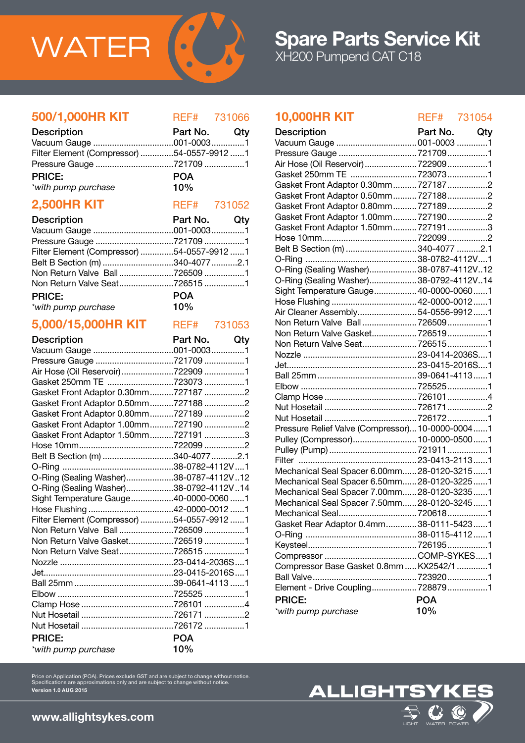

### 500/1,000HR KIT REF# 731066

| <b>Description</b>                         | Part No. Qty |  |
|--------------------------------------------|--------------|--|
|                                            |              |  |
| Filter Element (Compressor) 54-0557-9912 1 |              |  |
|                                            |              |  |
| <b>PRICE:</b>                              | <b>POA</b>   |  |
| *with pump purchase                        | 10%          |  |

## **2,500HR KIT** REF# 731052

| 2,500HR KII        | REF# 731052 |     |
|--------------------|-------------|-----|
| <b>Decerintion</b> | Dort No     | Otv |

| <b>Description</b>                         | Part NO. GIV |  |
|--------------------------------------------|--------------|--|
|                                            |              |  |
|                                            |              |  |
| Filter Element (Compressor) 54-0557-9912 1 |              |  |
| Belt B Section (m) 340-4077 2.1            |              |  |
| Non Return Valve Ball7265091               |              |  |
| Non Return Valve Seat7265151               |              |  |
| <b>PRICE:</b>                              | <b>POA</b>   |  |
| *with pump purchase                        | $10\%$       |  |
|                                            |              |  |

# 5,000/15,000HR KIT REF# 731053

| <b>Description</b>                         | Part No. Qty |  |
|--------------------------------------------|--------------|--|
|                                            |              |  |
| Pressure Gauge 721709 1                    |              |  |
| Air Hose (Oil Reservoir) 722909 1          |              |  |
| Gasket 250mm TE 723073 1                   |              |  |
| Gasket Front Adaptor 0.30mm7271872         |              |  |
| Gasket Front Adaptor 0.50mm7271882         |              |  |
| Gasket Front Adaptor 0.80mm7271892         |              |  |
| Gasket Front Adaptor 1.00mm7271902         |              |  |
| Gasket Front Adaptor 1.50mm7271913         |              |  |
|                                            |              |  |
| Belt B Section (m) 340-4077 2.1            |              |  |
|                                            |              |  |
| O-Ring (Sealing Washer)38-0787-4112V12     |              |  |
| O-Ring (Sealing Washer)38-0792-4112V14     |              |  |
| Sight Temperature Gauge40-0000-0060 1      |              |  |
|                                            |              |  |
| Filter Element (Compressor) 54-0557-9912 1 |              |  |
| Non Return Valve Ball7265091               |              |  |
| Non Return Valve Gasket7265191             |              |  |
| Non Return Valve Seat7265151               |              |  |
|                                            |              |  |
|                                            |              |  |
|                                            |              |  |
|                                            |              |  |
|                                            |              |  |
|                                            |              |  |
|                                            |              |  |
| <b>PRICE:</b>                              | <b>POA</b>   |  |
| *with pump purchase                        | 10%          |  |

### 10,000HR KIT REF# 731054

| <b>Description</b>                               | Part No.   | Qty |
|--------------------------------------------------|------------|-----|
| Vacuum Gauge  001-0003 1                         |            |     |
|                                                  |            |     |
| Air Hose (Oil Reservoir)  722909 1               |            |     |
| Gasket 250mm TE  7230731                         |            |     |
| Gasket Front Adaptor 0.30mm 7271872              |            |     |
| Gasket Front Adaptor 0.50mm 7271882              |            |     |
| Gasket Front Adaptor 0.80mm 7271892              |            |     |
| Gasket Front Adaptor 1.00mm 7271902              |            |     |
| Gasket Front Adaptor 1.50mm 7271913              |            |     |
|                                                  |            |     |
| Belt B Section (m) 340-4077 2.1                  |            |     |
|                                                  |            |     |
| O-Ring (Sealing Washer)38-0787-4112V12           |            |     |
| O-Ring (Sealing Washer)38-0792-4112V14           |            |     |
| Sight Temperature Gauge 40-0000-00601            |            |     |
|                                                  |            |     |
| Air Cleaner Assembly54-0556-99121                |            |     |
| Non Return Valve Ball 7265091                    |            |     |
| Non Return Valve Gasket7265191                   |            |     |
| Non Return Valve Seat7265151                     |            |     |
|                                                  |            |     |
|                                                  |            |     |
|                                                  |            |     |
|                                                  |            |     |
|                                                  |            |     |
|                                                  |            |     |
|                                                  |            |     |
|                                                  |            |     |
| Pressure Relief Valve (Compressor) 10-0000-00041 |            |     |
| Pulley (Compressor) 10-0000-05001                |            |     |
|                                                  |            |     |
|                                                  |            |     |
| Mechanical Seal Spacer 6.00mm 28-0120-32151      |            |     |
| Mechanical Seal Spacer 6.50mm 28-0120-32251      |            |     |
| Mechanical Seal Spacer 7.00mm28-0120-32351       |            |     |
| Mechanical Seal Spacer 7.50mm 28-0120-32451      |            |     |
| Mechanical Seal7206181                           |            |     |
| Gasket Rear Adaptor 0.4mm38-0111-54231           |            |     |
|                                                  |            |     |
|                                                  |            |     |
|                                                  |            |     |
| Compressor Base Gasket 0.8mm  KX2542/1 1         |            |     |
|                                                  |            |     |
|                                                  |            |     |
| <b>PRICE:</b>                                    | <b>POA</b> |     |
| *with pump purchase                              | 10%        |     |
|                                                  |            |     |